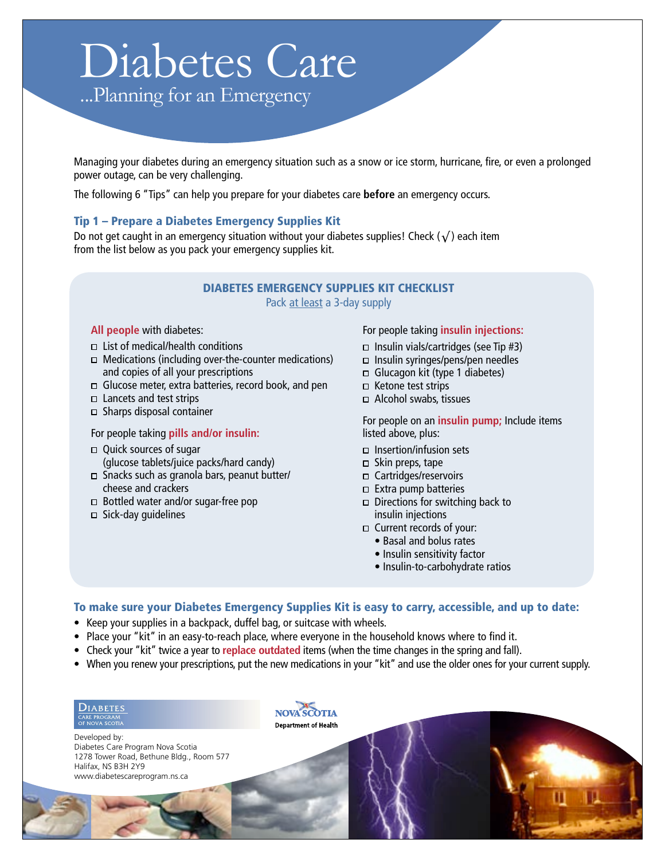# Diabetes Care

...Planning for an Emergency

Managing your diabetes during an emergency situation such as a snow or ice storm, hurricane, fire, or even a prolonged power outage, can be very challenging.

The following 6 "Tips" can help you prepare for your diabetes care **before** an emergency occurs.

# Tip 1 – Prepare a Diabetes Emergency Supplies Kit

Do not get caught in an emergency situation without your diabetes supplies! Check  $(\sqrt{})$  each item from the list below as you pack your emergency supplies kit.

## **DIABETES EMERGENCY SUPPLIES KIT CHECKLIST** Pack at least a 3-day supply

## All people with diabetes:

- $\Box$  List of medical/health conditions
- $\Box$  Medications (including over-the-counter medications) and copies of all your prescriptions
- $\Box$  Glucose meter, extra batteries, record book, and pen
- $\Box$  Lancets and test strips
- $\Box$  Sharps disposal container

## For people taking pills and/or insulin:

- □ Ouick sources of sugar (glucose tablets/juice packs/hard candy)
- □ Snacks such as granola bars, peanut butter/ cheese and crackers
- $\Box$  Bottled water and/or sugar-free pop
- $\Box$  Sick-day quidelines

#### For people taking insulin injections:

- $\Box$  Insulin vials/cartridges (see Tip #3)
- □ Insulin syringes/pens/pen needles
- $\Box$  Glucagon kit (type 1 diabetes)
- □ Ketone test strips
- Alcohol swabs, tissues

For people on an *insulin pump*; Include items listed above, plus:

- $\Box$  Insertion/infusion sets
- $\Box$  Skin preps, tape
- □ Cartridges/reservoirs
- $\Box$  Extra pump batteries
- $\Box$  Directions for switching back to insulin injections
- □ Current records of your:
	- Basal and bolus rates
	- · Insulin sensitivity factor
	- · Insulin-to-carbohydrate ratios

## To make sure your Diabetes Emergency Supplies Kit is easy to carry, accessible, and up to date:

- Keep your supplies in a backpack, duffel bag, or suitcase with wheels.
- Place your "kit" in an easy-to-reach place, where everyone in the household knows where to find it.
- Check your "kit" twice a year to replace outdated items (when the time changes in the spring and fall).
- When you renew your prescriptions, put the new medications in your "kit" and use the older ones for your current supply.

 $D$ IABETES CARE PROGRAM<br>OF NOVA SCOTIA

Developed by: Diabetes Care Program Nova Scotia 1278 Tower Road, Bethune Bldg., Room 577 Halifax, NS B3H 2Y9 www.diabetescareprogram.ns.ca

NOVA SCOTIA **Department of Health**